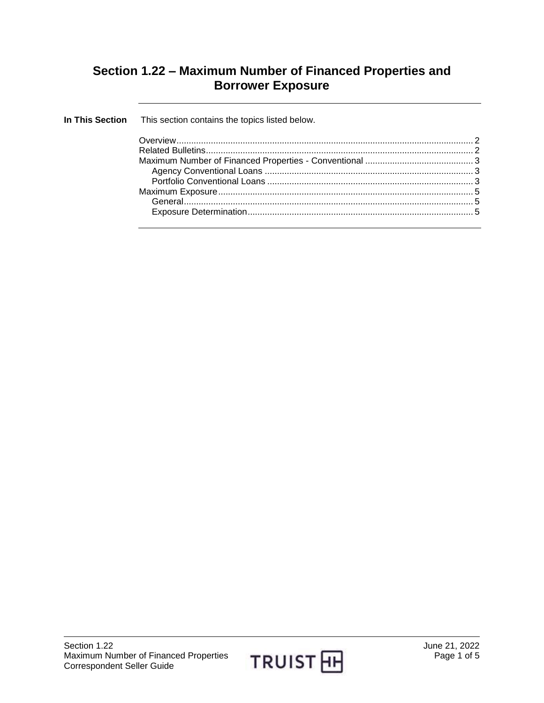## **Section 1.22 – Maximum Number of Financed Properties and Borrower Exposure**

| In This Section This section contains the topics listed below. |  |
|----------------------------------------------------------------|--|
|                                                                |  |
|                                                                |  |
|                                                                |  |
|                                                                |  |
|                                                                |  |
|                                                                |  |
|                                                                |  |
|                                                                |  |
|                                                                |  |

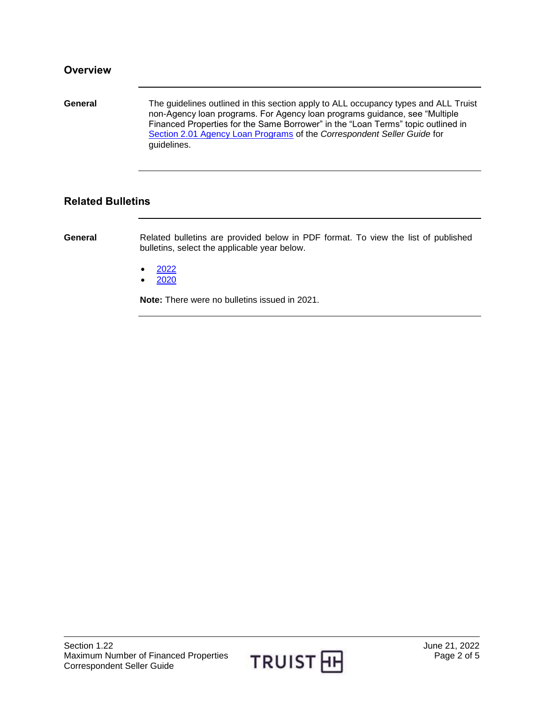<span id="page-1-0"></span>**General** The guidelines outlined in this section apply to ALL occupancy types and ALL Truist non-Agency loan programs. For Agency loan programs guidance, see "Multiple Financed Properties for the Same Borrower" in the "Loan Terms" topic outlined in [Section 2.01 Agency Loan Programs](https://truistsellerguide.com/manual/cor/products/cagency.pdf) of the *Correspondent Seller Guide* for guidelines.

## <span id="page-1-1"></span>**Related Bulletins**

**General** Related bulletins are provided below in PDF format. To view the list of published bulletins, select the applicable year below.

- [2022](https://truistsellerguide.com/manual/cor/bulletins/related%20bulletins/2022/CMaxNumFin2022.pdf)
- [2020](https://truistsellerguide.com/manual/cor/bulletins/related%20bulletins/2020/CMaxNumFin2020.pdf)

**Note:** There were no bulletins issued in 2021.

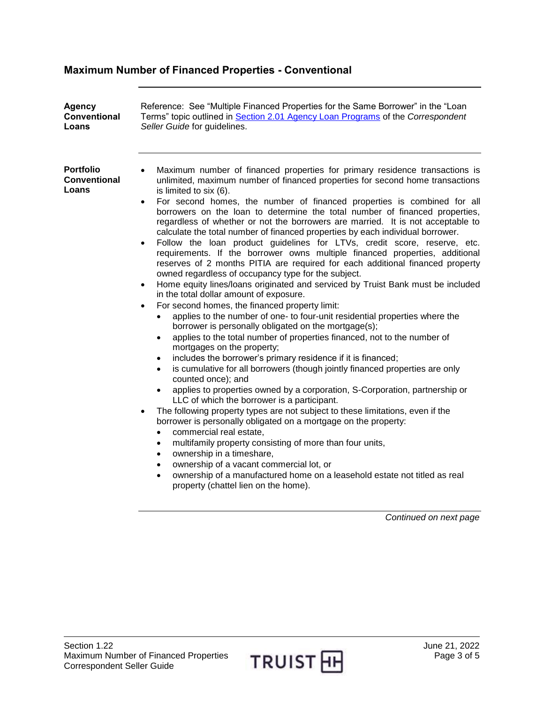## <span id="page-2-0"></span>**Maximum Number of Financed Properties - Conventional**

<span id="page-2-2"></span><span id="page-2-1"></span>

| Agency<br><b>Conventional</b><br>Loans           | Reference: See "Multiple Financed Properties for the Same Borrower" in the "Loan<br>Terms" topic outlined in Section 2.01 Agency Loan Programs of the Correspondent<br>Seller Guide for guidelines.                                                                                                                                                                                                                                                                                                                                                                                                                                                                                                                                                                                                                                                                                                                                                                                                                                                                                                                                                                                                                                                                                                                                                                                                                                                                                                                                                                                                                                                                                                                                                                                                                                                                                                                                                                                                                                                                                                                                                                                           |
|--------------------------------------------------|-----------------------------------------------------------------------------------------------------------------------------------------------------------------------------------------------------------------------------------------------------------------------------------------------------------------------------------------------------------------------------------------------------------------------------------------------------------------------------------------------------------------------------------------------------------------------------------------------------------------------------------------------------------------------------------------------------------------------------------------------------------------------------------------------------------------------------------------------------------------------------------------------------------------------------------------------------------------------------------------------------------------------------------------------------------------------------------------------------------------------------------------------------------------------------------------------------------------------------------------------------------------------------------------------------------------------------------------------------------------------------------------------------------------------------------------------------------------------------------------------------------------------------------------------------------------------------------------------------------------------------------------------------------------------------------------------------------------------------------------------------------------------------------------------------------------------------------------------------------------------------------------------------------------------------------------------------------------------------------------------------------------------------------------------------------------------------------------------------------------------------------------------------------------------------------------------|
| <b>Portfolio</b><br><b>Conventional</b><br>Loans | Maximum number of financed properties for primary residence transactions is<br>$\bullet$<br>unlimited, maximum number of financed properties for second home transactions<br>is limited to six (6).<br>For second homes, the number of financed properties is combined for all<br>$\bullet$<br>borrowers on the loan to determine the total number of financed properties,<br>regardless of whether or not the borrowers are married. It is not acceptable to<br>calculate the total number of financed properties by each individual borrower.<br>Follow the loan product guidelines for LTVs, credit score, reserve, etc.<br>$\bullet$<br>requirements. If the borrower owns multiple financed properties, additional<br>reserves of 2 months PITIA are required for each additional financed property<br>owned regardless of occupancy type for the subject.<br>Home equity lines/loans originated and serviced by Truist Bank must be included<br>$\bullet$<br>in the total dollar amount of exposure.<br>For second homes, the financed property limit:<br>$\bullet$<br>applies to the number of one- to four-unit residential properties where the<br>borrower is personally obligated on the mortgage(s);<br>applies to the total number of properties financed, not to the number of<br>$\bullet$<br>mortgages on the property;<br>includes the borrower's primary residence if it is financed;<br>is cumulative for all borrowers (though jointly financed properties are only<br>$\bullet$<br>counted once); and<br>applies to properties owned by a corporation, S-Corporation, partnership or<br>$\bullet$<br>LLC of which the borrower is a participant.<br>The following property types are not subject to these limitations, even if the<br>$\bullet$<br>borrower is personally obligated on a mortgage on the property:<br>commercial real estate,<br>$\bullet$<br>multifamily property consisting of more than four units,<br>$\bullet$<br>ownership in a timeshare,<br>$\bullet$<br>ownership of a vacant commercial lot, or<br>ownership of a manufactured home on a leasehold estate not titled as real<br>property (chattel lien on the home).<br>Continued on next page |
|                                                  |                                                                                                                                                                                                                                                                                                                                                                                                                                                                                                                                                                                                                                                                                                                                                                                                                                                                                                                                                                                                                                                                                                                                                                                                                                                                                                                                                                                                                                                                                                                                                                                                                                                                                                                                                                                                                                                                                                                                                                                                                                                                                                                                                                                               |

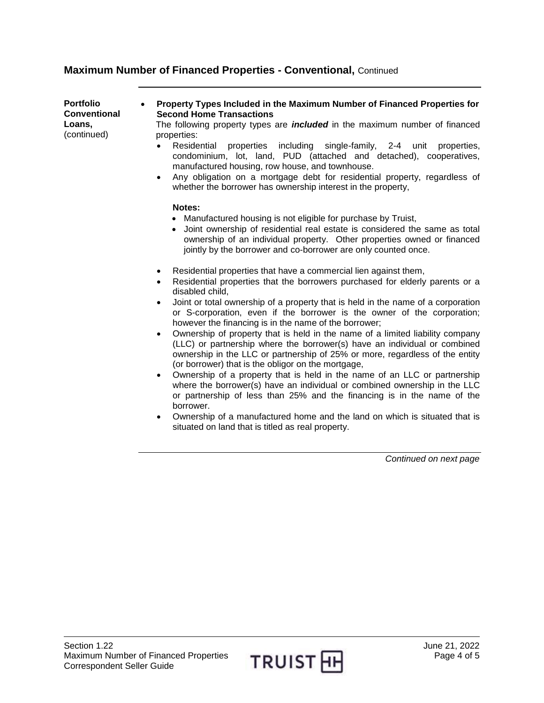## **Maximum Number of Financed Properties - Conventional,** Continued

**Portfolio Conventional Loans,**  (continued) **Property Types Included in the Maximum Number of Financed Properties for Second Home Transactions** The following property types are *included* in the maximum number of financed properties: Residential properties including single-family, 2-4 unit properties, condominium, lot, land, PUD (attached and detached), cooperatives, manufactured housing, row house, and townhouse. Any obligation on a mortgage debt for residential property, regardless of whether the borrower has ownership interest in the property, **Notes:** Manufactured housing is not eligible for purchase by Truist, Joint ownership of residential real estate is considered the same as total ownership of an individual property. Other properties owned or financed jointly by the borrower and co-borrower are only counted once. Residential properties that have a commercial lien against them, Residential properties that the borrowers purchased for elderly parents or a disabled child, Joint or total ownership of a property that is held in the name of a corporation or S-corporation, even if the borrower is the owner of the corporation; however the financing is in the name of the borrower; Ownership of property that is held in the name of a limited liability company (LLC) or partnership where the borrower(s) have an individual or combined ownership in the LLC or partnership of 25% or more, regardless of the entity (or borrower) that is the obligor on the mortgage, Ownership of a property that is held in the name of an LLC or partnership where the borrower(s) have an individual or combined ownership in the LLC or partnership of less than 25% and the financing is in the name of the borrower. Ownership of a manufactured home and the land on which is situated that is situated on land that is titled as real property.

*Continued on next page*